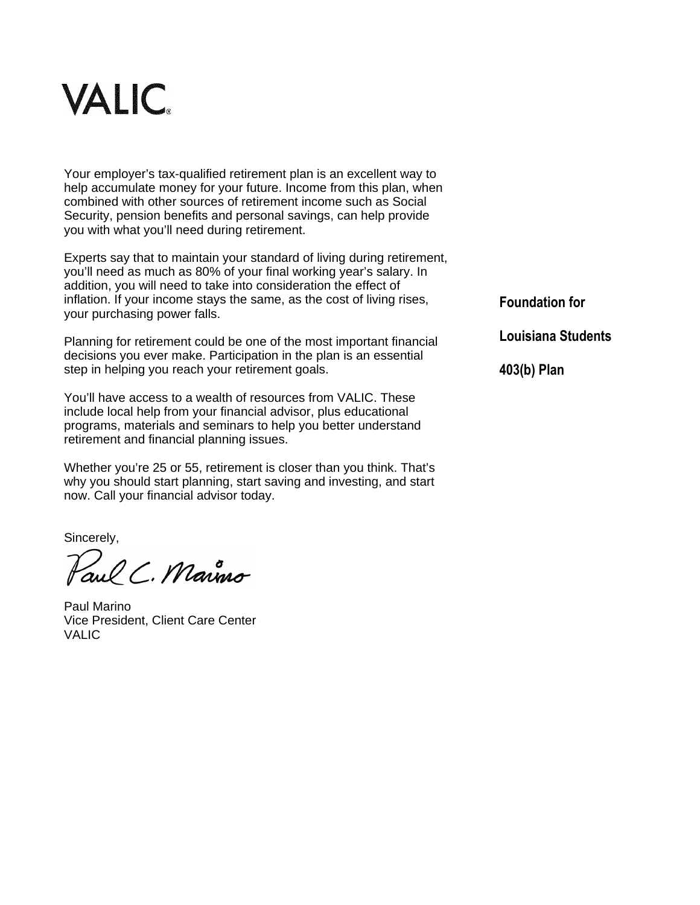

Your employer's tax-qualified retirement plan is an excellent way to help accumulate money for your future. Income from this plan, when combined with other sources of retirement income such as Social Security, pension benefits and personal savings, can help provide you with what you'll need during retirement.

Experts say that to maintain your standard of living during retirement, you'll need as much as 80% of your final working year's salary. In addition, you will need to take into consideration the effect of inflation. If your income stays the same, as the cost of living rises, your purchasing power falls.

Planning for retirement could be one of the most important financial decisions you ever make. Participation in the plan is an essential step in helping you reach your retirement goals.

You'll have access to a wealth of resources from VALIC. These include local help from your financial advisor, plus educational programs, materials and seminars to help you better understand retirement and financial planning issues.

Whether you're 25 or 55, retirement is closer than you think. That's why you should start planning, start saving and investing, and start now. Call your financial advisor today.

Sincerely,

aul C. Marino

Paul Marino Vice President, Client Care Center VALIC

**Foundation for** 

**Louisiana Students**

**403(b) Plan**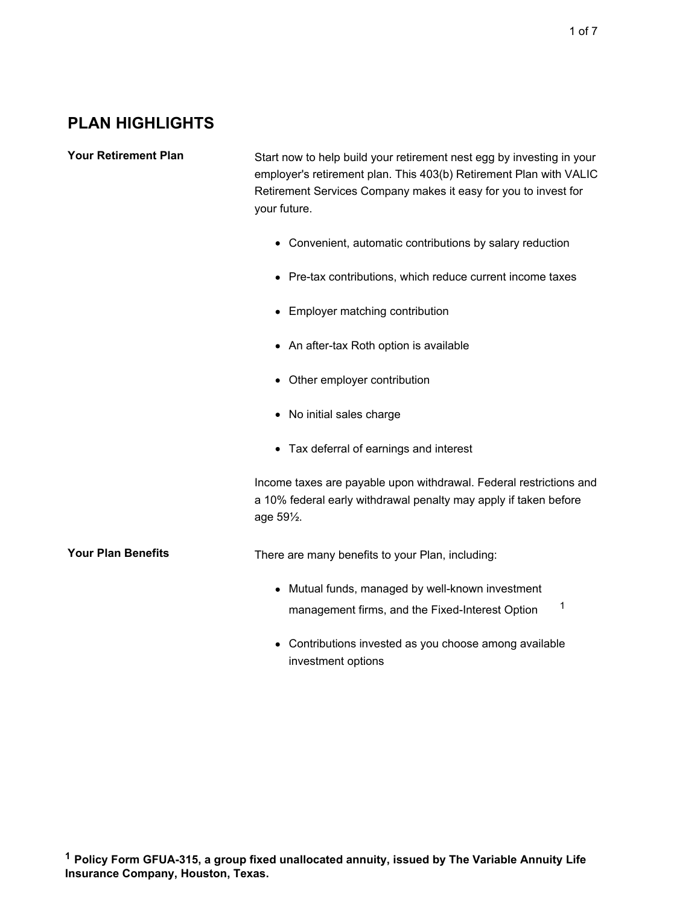Your Retirement Plan Start now to help build your retirement nest egg by investing in your employer's retirement plan. This 403(b) Retirement Plan with VALIC Retirement Services Company makes it easy for you to invest for your future.

- Convenient, automatic contributions by salary reduction
- Pre-tax contributions, which reduce current income taxes
- Employer matching contribution
- An after-tax Roth option is available
- Other employer contribution
- No initial sales charge
- Tax deferral of earnings and interest

Income taxes are payable upon withdrawal. Federal restrictions and a 10% federal early withdrawal penalty may apply if taken before age 59½.

**Your Plan Benefits** There are many benefits to your Plan, including:

- Mutual funds, managed by well-known investment management firms, and the Fixed-Interest Option<sup>1</sup>
- Contributions invested as you choose among available investment options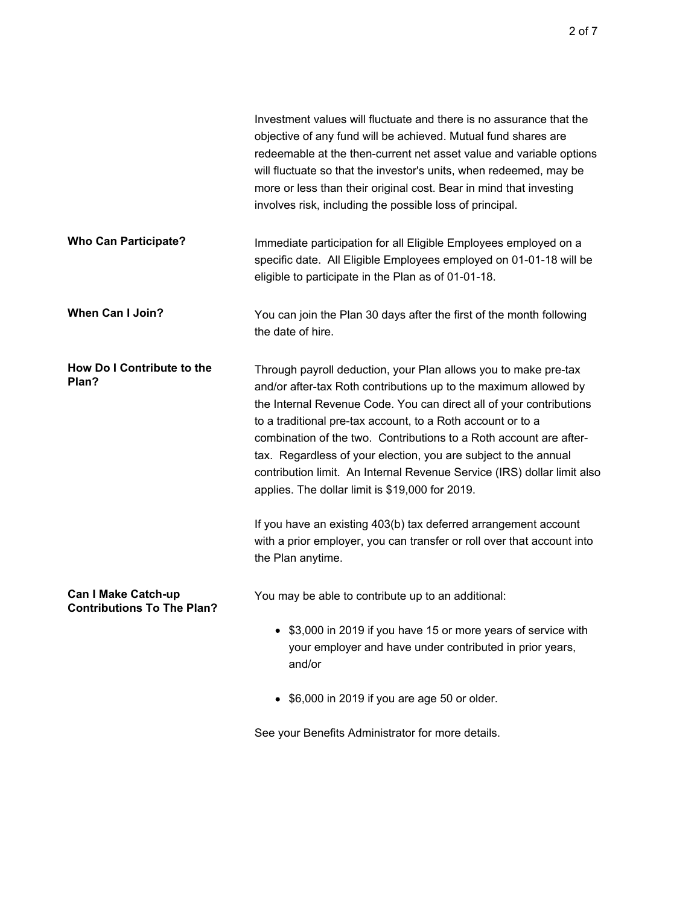|                                                                 | Investment values will fluctuate and there is no assurance that the<br>objective of any fund will be achieved. Mutual fund shares are<br>redeemable at the then-current net asset value and variable options<br>will fluctuate so that the investor's units, when redeemed, may be<br>more or less than their original cost. Bear in mind that investing<br>involves risk, including the possible loss of principal.                                                                                                                             |
|-----------------------------------------------------------------|--------------------------------------------------------------------------------------------------------------------------------------------------------------------------------------------------------------------------------------------------------------------------------------------------------------------------------------------------------------------------------------------------------------------------------------------------------------------------------------------------------------------------------------------------|
| <b>Who Can Participate?</b>                                     | Immediate participation for all Eligible Employees employed on a<br>specific date. All Eligible Employees employed on 01-01-18 will be<br>eligible to participate in the Plan as of 01-01-18.                                                                                                                                                                                                                                                                                                                                                    |
| <b>When Can I Join?</b>                                         | You can join the Plan 30 days after the first of the month following<br>the date of hire.                                                                                                                                                                                                                                                                                                                                                                                                                                                        |
| How Do I Contribute to the<br>Plan?                             | Through payroll deduction, your Plan allows you to make pre-tax<br>and/or after-tax Roth contributions up to the maximum allowed by<br>the Internal Revenue Code. You can direct all of your contributions<br>to a traditional pre-tax account, to a Roth account or to a<br>combination of the two. Contributions to a Roth account are after-<br>tax. Regardless of your election, you are subject to the annual<br>contribution limit. An Internal Revenue Service (IRS) dollar limit also<br>applies. The dollar limit is \$19,000 for 2019. |
|                                                                 | If you have an existing 403(b) tax deferred arrangement account<br>with a prior employer, you can transfer or roll over that account into<br>the Plan anytime.                                                                                                                                                                                                                                                                                                                                                                                   |
| <b>Can I Make Catch-up</b><br><b>Contributions To The Plan?</b> | You may be able to contribute up to an additional:                                                                                                                                                                                                                                                                                                                                                                                                                                                                                               |
|                                                                 | \$3,000 in 2019 if you have 15 or more years of service with<br>your employer and have under contributed in prior years,<br>and/or                                                                                                                                                                                                                                                                                                                                                                                                               |
|                                                                 | \$6,000 in 2019 if you are age 50 or older.                                                                                                                                                                                                                                                                                                                                                                                                                                                                                                      |

See your Benefits Administrator for more details.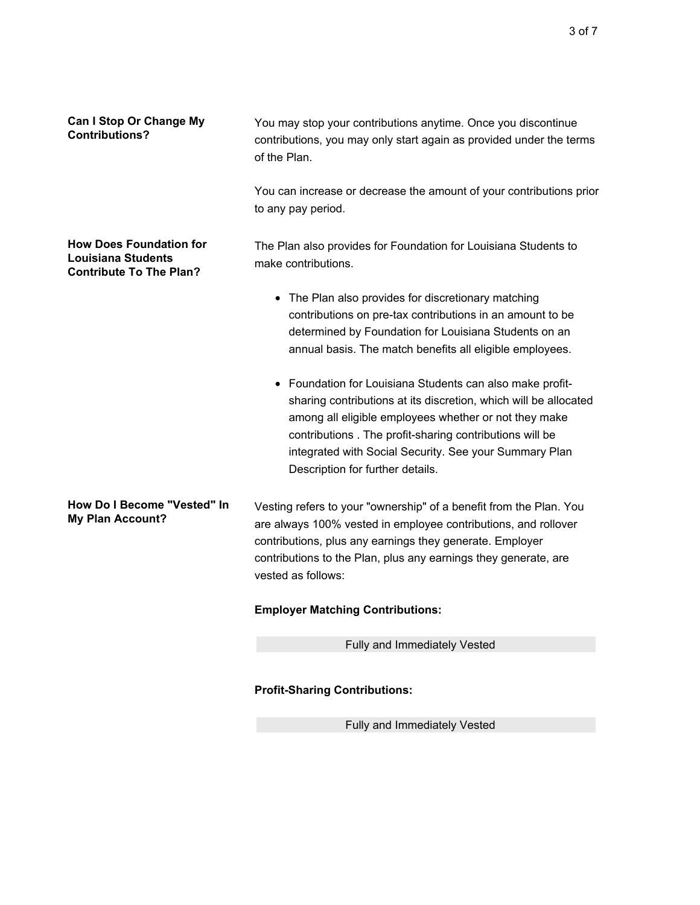| <b>Can I Stop Or Change My</b><br><b>Contributions?</b>                                       | You may stop your contributions anytime. Once you discontinue<br>contributions, you may only start again as provided under the terms<br>of the Plan.                                                                                                                                                                                            |
|-----------------------------------------------------------------------------------------------|-------------------------------------------------------------------------------------------------------------------------------------------------------------------------------------------------------------------------------------------------------------------------------------------------------------------------------------------------|
|                                                                                               | You can increase or decrease the amount of your contributions prior<br>to any pay period.                                                                                                                                                                                                                                                       |
| <b>How Does Foundation for</b><br><b>Louisiana Students</b><br><b>Contribute To The Plan?</b> | The Plan also provides for Foundation for Louisiana Students to<br>make contributions.                                                                                                                                                                                                                                                          |
|                                                                                               | • The Plan also provides for discretionary matching<br>contributions on pre-tax contributions in an amount to be<br>determined by Foundation for Louisiana Students on an<br>annual basis. The match benefits all eligible employees.                                                                                                           |
|                                                                                               | • Foundation for Louisiana Students can also make profit-<br>sharing contributions at its discretion, which will be allocated<br>among all eligible employees whether or not they make<br>contributions. The profit-sharing contributions will be<br>integrated with Social Security. See your Summary Plan<br>Description for further details. |
| How Do I Become "Vested" In<br><b>My Plan Account?</b>                                        | Vesting refers to your "ownership" of a benefit from the Plan. You<br>are always 100% vested in employee contributions, and rollover<br>contributions, plus any earnings they generate. Employer<br>contributions to the Plan, plus any earnings they generate, are<br>vested as follows:                                                       |
|                                                                                               | <b>Employer Matching Contributions:</b>                                                                                                                                                                                                                                                                                                         |
|                                                                                               | Fully and Immediately Vested                                                                                                                                                                                                                                                                                                                    |
|                                                                                               |                                                                                                                                                                                                                                                                                                                                                 |

## **Profit-Sharing Contributions:**

Fully and Immediately Vested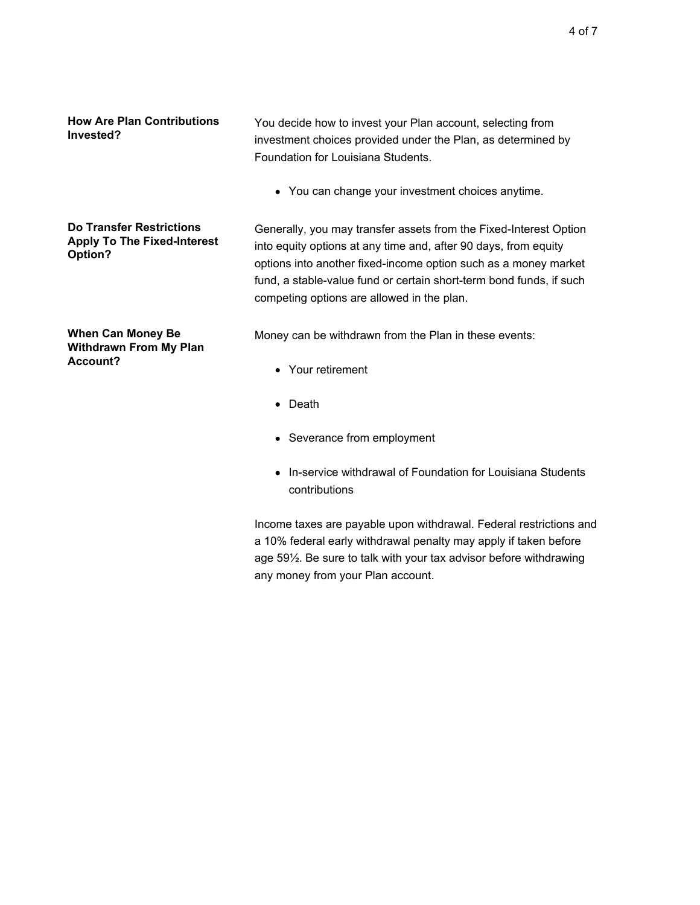You decide how to invest your Plan account, selecting from investment choices provided under the Plan, as determined by Foundation for Louisiana Students.

You can change your investment choices anytime.

**Do Transfer Restrictions Apply To The Fixed-Interest Option?**

**When Can Money Be Withdrawn From My Plan**

**Account?**

Generally, you may transfer assets from the Fixed-Interest Option into equity options at any time and, after 90 days, from equity options into another fixed-income option such as a money market fund, a stable-value fund or certain short-term bond funds, if such competing options are allowed in the plan.

Money can be withdrawn from the Plan in these events:

- Your retirement
- Death
- Severance from employment
- In-service withdrawal of Foundation for Louisiana Students contributions

Income taxes are payable upon withdrawal. Federal restrictions and a 10% federal early withdrawal penalty may apply if taken before age 59½. Be sure to talk with your tax advisor before withdrawing any money from your Plan account.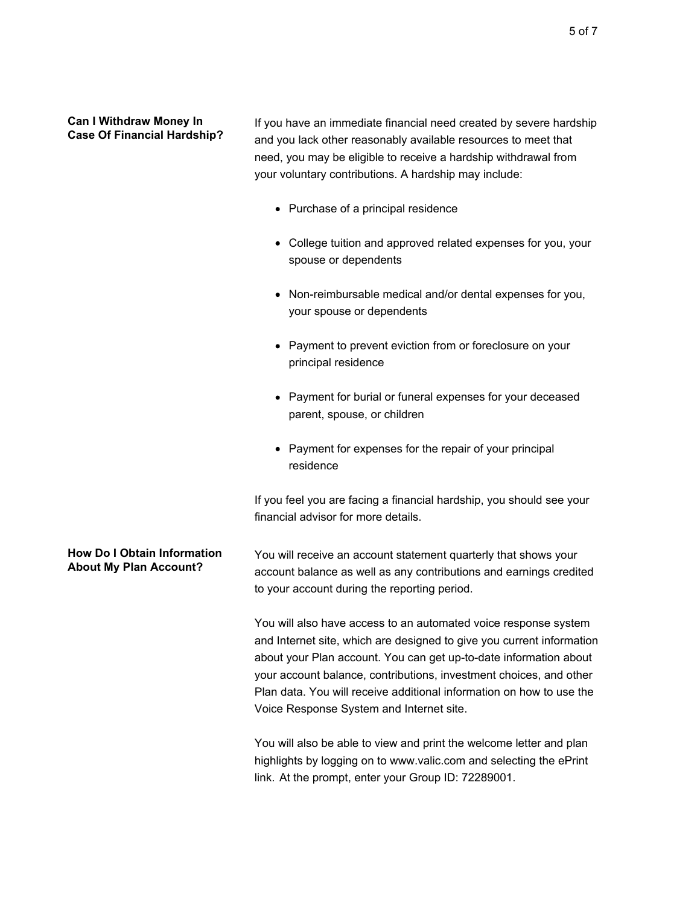## **Can I Withdraw Money In Case Of Financial Hardship?**

If you have an immediate financial need created by severe hardship and you lack other reasonably available resources to meet that need, you may be eligible to receive a hardship withdrawal from your voluntary contributions. A hardship may include:

- Purchase of a principal residence
- College tuition and approved related expenses for you, your spouse or dependents
- Non-reimbursable medical and/or dental expenses for you, your spouse or dependents
- Payment to prevent eviction from or foreclosure on your principal residence
- Payment for burial or funeral expenses for your deceased parent, spouse, or children
- Payment for expenses for the repair of your principal residence

If you feel you are facing a financial hardship, you should see your financial advisor for more details.

## **How Do I Obtain Information About My Plan Account?** You will receive an account statement quarterly that shows your account balance as well as any contributions and earnings credited to your account during the reporting period.

You will also have access to an automated voice response system and Internet site, which are designed to give you current information about your Plan account. You can get up-to-date information about your account balance, contributions, investment choices, and other Plan data. You will receive additional information on how to use the Voice Response System and Internet site.

You will also be able to view and print the welcome letter and plan highlights by logging on to www.valic.com and selecting the ePrint link. At the prompt, enter your Group ID: 72289001.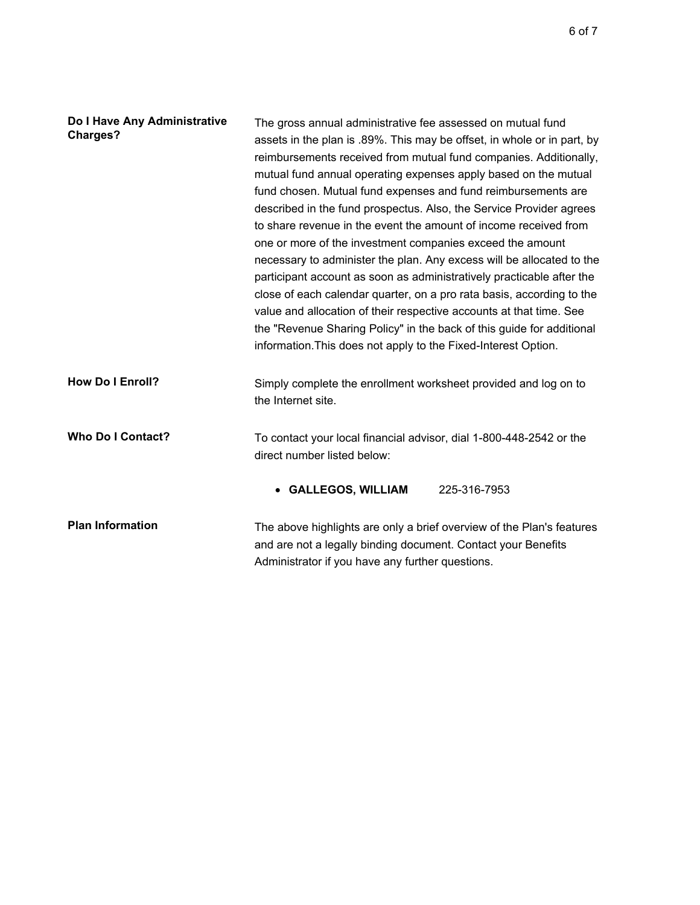| Do I Have Any Administrative<br><b>Charges?</b> | The gross annual administrative fee assessed on mutual fund<br>assets in the plan is .89%. This may be offset, in whole or in part, by<br>reimbursements received from mutual fund companies. Additionally,<br>mutual fund annual operating expenses apply based on the mutual<br>fund chosen. Mutual fund expenses and fund reimbursements are<br>described in the fund prospectus. Also, the Service Provider agrees<br>to share revenue in the event the amount of income received from<br>one or more of the investment companies exceed the amount<br>necessary to administer the plan. Any excess will be allocated to the<br>participant account as soon as administratively practicable after the<br>close of each calendar quarter, on a pro rata basis, according to the<br>value and allocation of their respective accounts at that time. See<br>the "Revenue Sharing Policy" in the back of this guide for additional<br>information. This does not apply to the Fixed-Interest Option. |
|-------------------------------------------------|------------------------------------------------------------------------------------------------------------------------------------------------------------------------------------------------------------------------------------------------------------------------------------------------------------------------------------------------------------------------------------------------------------------------------------------------------------------------------------------------------------------------------------------------------------------------------------------------------------------------------------------------------------------------------------------------------------------------------------------------------------------------------------------------------------------------------------------------------------------------------------------------------------------------------------------------------------------------------------------------------|
| <b>How Do I Enroll?</b>                         | Simply complete the enrollment worksheet provided and log on to<br>the Internet site.                                                                                                                                                                                                                                                                                                                                                                                                                                                                                                                                                                                                                                                                                                                                                                                                                                                                                                                |
| <b>Who Do I Contact?</b>                        | To contact your local financial advisor, dial 1-800-448-2542 or the<br>direct number listed below:                                                                                                                                                                                                                                                                                                                                                                                                                                                                                                                                                                                                                                                                                                                                                                                                                                                                                                   |
|                                                 | 225-316-7953<br>• GALLEGOS, WILLIAM                                                                                                                                                                                                                                                                                                                                                                                                                                                                                                                                                                                                                                                                                                                                                                                                                                                                                                                                                                  |
| <b>Plan Information</b>                         | The above highlights are only a brief overview of the Plan's features<br>and are not a legally binding document. Contact your Benefits<br>Administrator if you have any further questions.                                                                                                                                                                                                                                                                                                                                                                                                                                                                                                                                                                                                                                                                                                                                                                                                           |